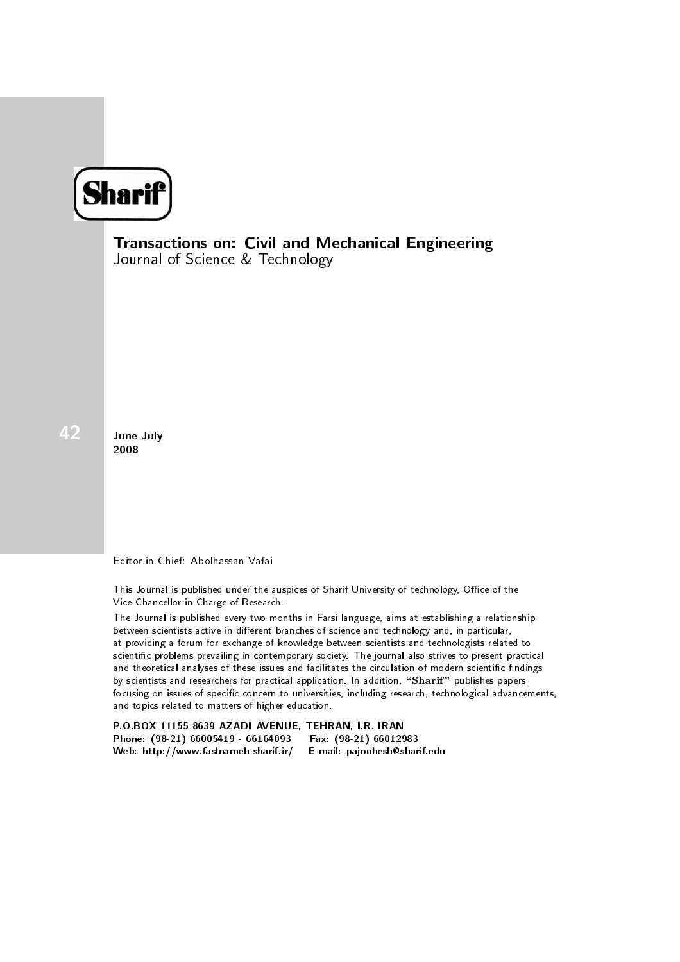

Transactions on: Civil and Mechanical Engineering Journal of Science & Technology

June-July 2008

Editor-in-Chief: Abolhassan Vafai

This Journal is published under the auspices of Sharif University of technology, Office of the Vice-Chancellor-in-Charge of Research.

The Journal is published every two months in Farsi language, aims at establishing a relationship between scientists active in different branches of science and technology and, in particular, at providing a forum for exchange of knowledge between scientists and technologists related to scientic problems prevailing in contemporary society. The journal also strives to present practical and theoretical analyses of these issues and facilitates the circulation of modern scientific findings by scientists and researchers for practical application. In addition, "Sharif" publishes papers focusing on issues of specific concern to universities, including research, technological advancements, and topics related to matters of higher education.

P.O.BOX 11155-8639 AZADI AVENUE, TEHRAN, I.R. IRAN Phone: (98-21) 66005419 - 66164093 Fax: (98-21) 66012983<br>Web: http://www.faslnameh-sharif.ir/ E-mail: pajouhesh@sharif.edu Web: http://www.faslnameh-sharif.ir/